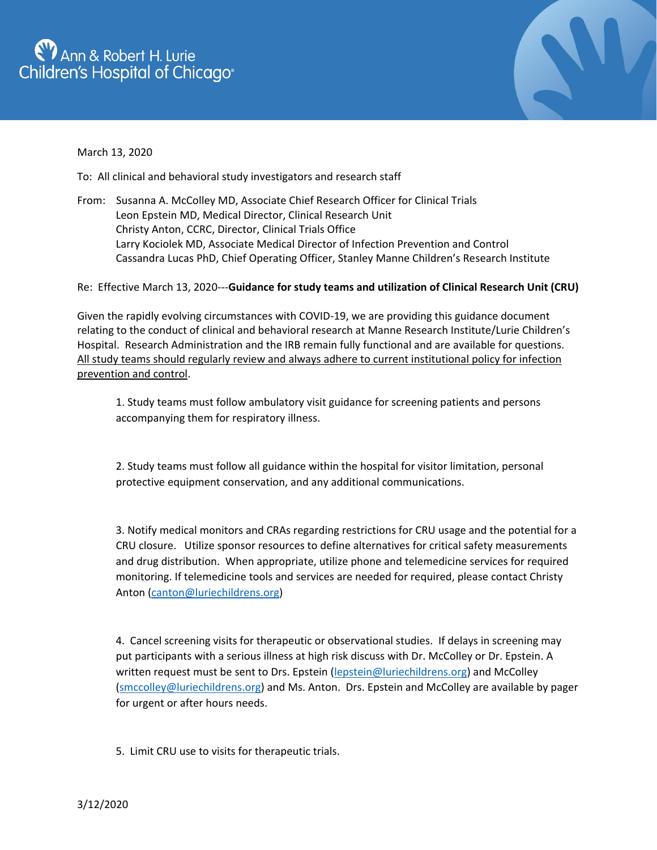## **EV** Ann & Robert H. Lurie<br>Children's Hospital of Chicago<sup>®</sup>



March 13, 2020

To: All clinical and behavioral study investigators and research staff

From: Susanna A. McColley MD, Associate Chief Research Officer for Clinical Trials Leon Epstein MD, Medical Director, Clinical Research Unit Christy Anton, CCRC, Director, Clinical Trials Office Larry Kociolek MD, Associate Medical Director of Infection Prevention and Control Cassandra Lucas PhD, Chief Operating Officer, Stanley Manne Children's Research Institute

Re: Effective March 13, 2020---**Guidance for study teams and utilization of Clinical Research Unit (CRU)**

Given the rapidly evolving circumstances with COVID-19, we are providing this guidance document relating to the conduct of clinical and behavioral research at Manne Research Institute/Lurie Children's Hospital. Research Administration and the IRB remain fully functional and are available for questions. All study teams should regularly review and always adhere to current institutional policy for infection prevention and control.

1. Study teams must follow ambulatory visit guidance for screening patients and persons accompanying them for respiratory illness.

2. Study teams must follow all guidance within the hospital for visitor limitation, personal protective equipment conservation, and any additional communications.

3. Notify medical monitors and CRAs regarding restrictions for CRU usage and the potential for a CRU closure. Utilize sponsor resources to define alternatives for critical safety measurements and drug distribution. When appropriate, utilize phone and telemedicine services for required monitoring. If telemedicine tools and services are needed for required, please contact Christy Anton [\(canton@luriechildrens.org\)](mailto:canton@luriechildrens.org)

4. Cancel screening visits for therapeutic or observational studies. If delays in screening may put participants with a serious illness at high risk discuss with Dr. McColley or Dr. Epstein. A written request must be sent to Drs. Epstein [\(lepstein@luriechildrens.org\)](mailto:lepstein@luriechildrens.org) and McColley [\(smccolley@luriechildrens.org\)](mailto:smccolley@luriechildrens.org) and Ms. Anton. Drs. Epstein and McColley are available by pager for urgent or after hours needs.

5. Limit CRU use to visits for therapeutic trials.